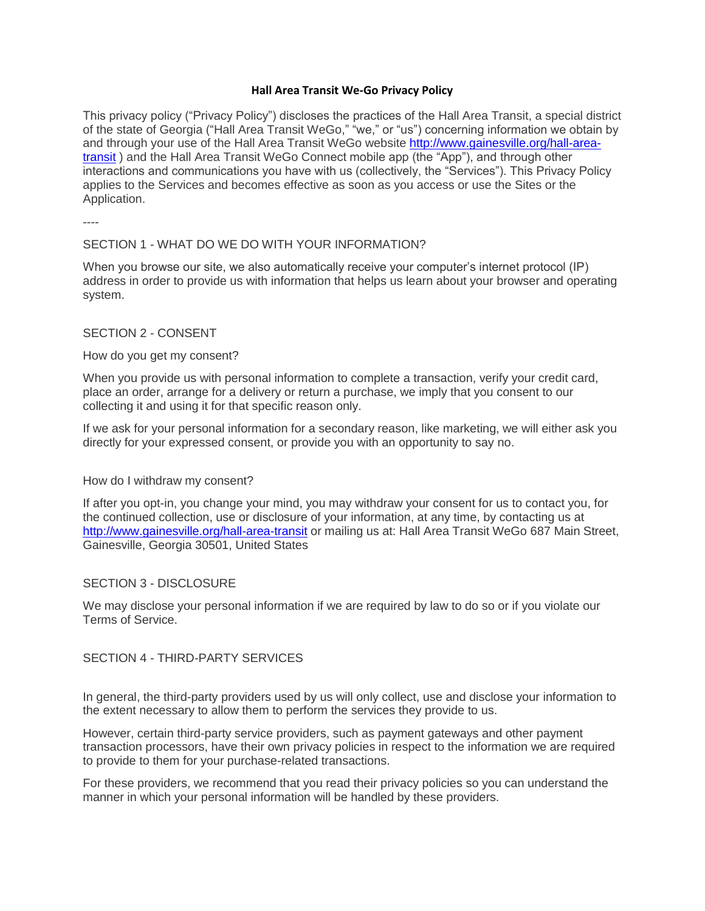## **Hall Area Transit We-Go Privacy Policy**

This privacy policy ("Privacy Policy") discloses the practices of the Hall Area Transit, a special district of the state of Georgia ("Hall Area Transit WeGo," "we," or "us") concerning information we obtain by and through your use of the Hall Area Transit WeGo website [http://www.gainesville.org/hall-area](http://www.gainesville.org/hall-area-transit)[transit](http://www.gainesville.org/hall-area-transit) ) and the Hall Area Transit WeGo Connect mobile app (the "App"), and through other interactions and communications you have with us (collectively, the "Services"). This Privacy Policy applies to the Services and becomes effective as soon as you access or use the Sites or the Application.

----

# SECTION 1 - WHAT DO WE DO WITH YOUR INFORMATION?

When you browse our site, we also automatically receive your computer's internet protocol (IP) address in order to provide us with information that helps us learn about your browser and operating system.

# SECTION 2 - CONSENT

## How do you get my consent?

When you provide us with personal information to complete a transaction, verify your credit card, place an order, arrange for a delivery or return a purchase, we imply that you consent to our collecting it and using it for that specific reason only.

If we ask for your personal information for a secondary reason, like marketing, we will either ask you directly for your expressed consent, or provide you with an opportunity to say no.

# How do I withdraw my consent?

If after you opt-in, you change your mind, you may withdraw your consent for us to contact you, for the continued collection, use or disclosure of your information, at any time, by contacting us at <http://www.gainesville.org/hall-area-transit> or mailing us at: Hall Area Transit WeGo 687 Main Street, Gainesville, Georgia 30501, United States

### SECTION 3 - DISCLOSURE

We may disclose your personal information if we are required by law to do so or if you violate our Terms of Service.

# SECTION 4 - THIRD-PARTY SERVICES

In general, the third-party providers used by us will only collect, use and disclose your information to the extent necessary to allow them to perform the services they provide to us.

However, certain third-party service providers, such as payment gateways and other payment transaction processors, have their own privacy policies in respect to the information we are required to provide to them for your purchase-related transactions.

For these providers, we recommend that you read their privacy policies so you can understand the manner in which your personal information will be handled by these providers.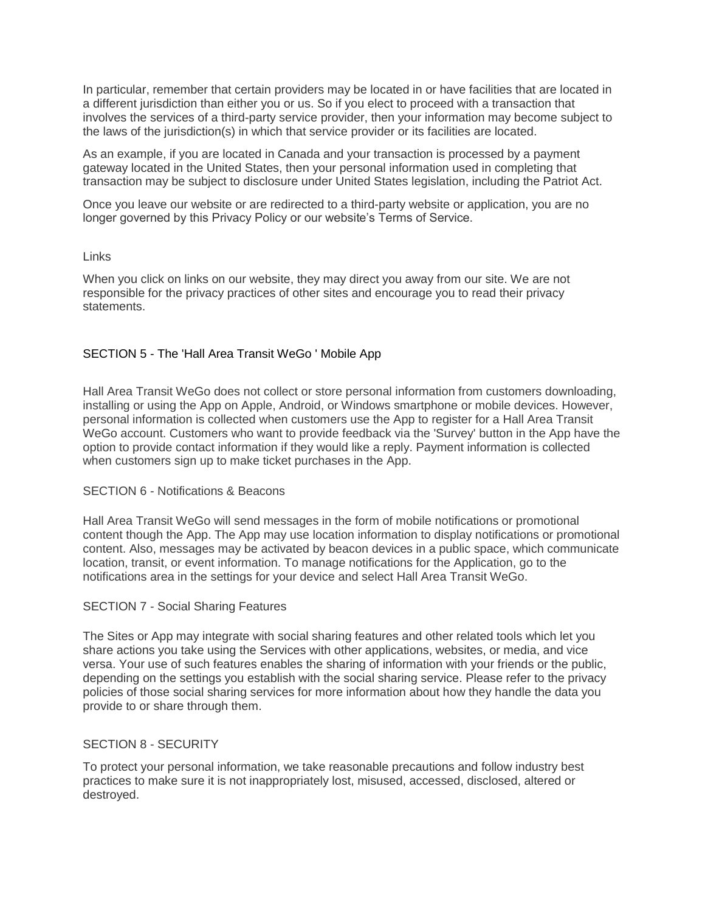In particular, remember that certain providers may be located in or have facilities that are located in a different jurisdiction than either you or us. So if you elect to proceed with a transaction that involves the services of a third-party service provider, then your information may become subject to the laws of the jurisdiction(s) in which that service provider or its facilities are located.

As an example, if you are located in Canada and your transaction is processed by a payment gateway located in the United States, then your personal information used in completing that transaction may be subject to disclosure under United States legislation, including the Patriot Act.

Once you leave our website or are redirected to a third-party website or application, you are no longer governed by this Privacy Policy or our website's Terms of Service.

## Links

When you click on links on our website, they may direct you away from our site. We are not responsible for the privacy practices of other sites and encourage you to read their privacy statements.

# SECTION 5 - The 'Hall Area Transit WeGo ' Mobile App

Hall Area Transit WeGo does not collect or store personal information from customers downloading, installing or using the App on Apple, Android, or Windows smartphone or mobile devices. However, personal information is collected when customers use the App to register for a Hall Area Transit WeGo account. Customers who want to provide feedback via the 'Survey' button in the App have the option to provide contact information if they would like a reply. Payment information is collected when customers sign up to make ticket purchases in the App.

## SECTION 6 - Notifications & Beacons

Hall Area Transit WeGo will send messages in the form of mobile notifications or promotional content though the App. The App may use location information to display notifications or promotional content. Also, messages may be activated by beacon devices in a public space, which communicate location, transit, or event information. To manage notifications for the Application, go to the notifications area in the settings for your device and select Hall Area Transit WeGo.

### SECTION 7 - Social Sharing Features

The Sites or App may integrate with social sharing features and other related tools which let you share actions you take using the Services with other applications, websites, or media, and vice versa. Your use of such features enables the sharing of information with your friends or the public, depending on the settings you establish with the social sharing service. Please refer to the privacy policies of those social sharing services for more information about how they handle the data you provide to or share through them.

### SECTION 8 - SECURITY

To protect your personal information, we take reasonable precautions and follow industry best practices to make sure it is not inappropriately lost, misused, accessed, disclosed, altered or destroyed.